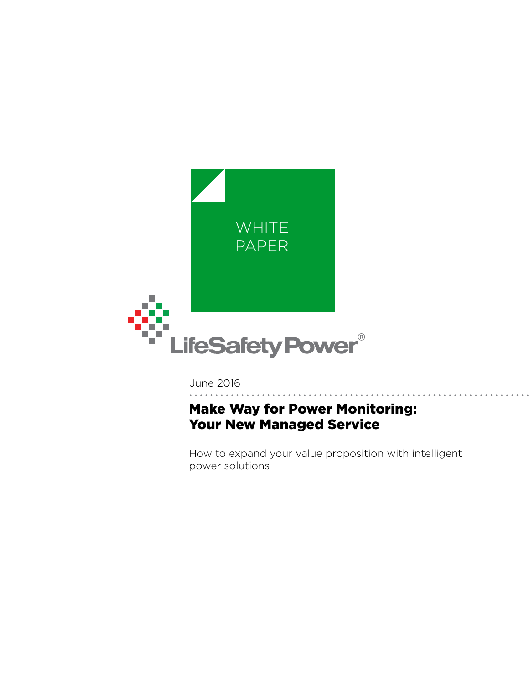

June 2016

# Make Way for Power Monitoring: Your New Managed Service

How to expand your value proposition with intelligent power solutions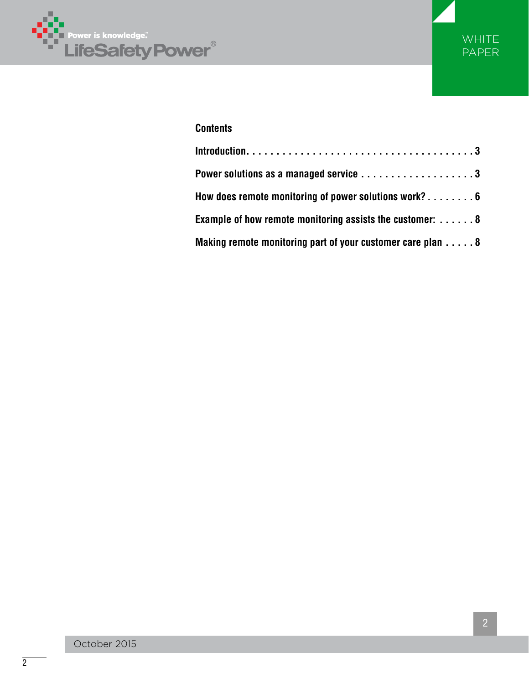



### **Contents**

| Power solutions as a managed service 3                                 |
|------------------------------------------------------------------------|
| How does remote monitoring of power solutions work? $\dots\dots\dots$  |
| Example of how remote monitoring assists the customer: $\dots \dots 8$ |
| Making remote monitoring part of your customer care plan 8             |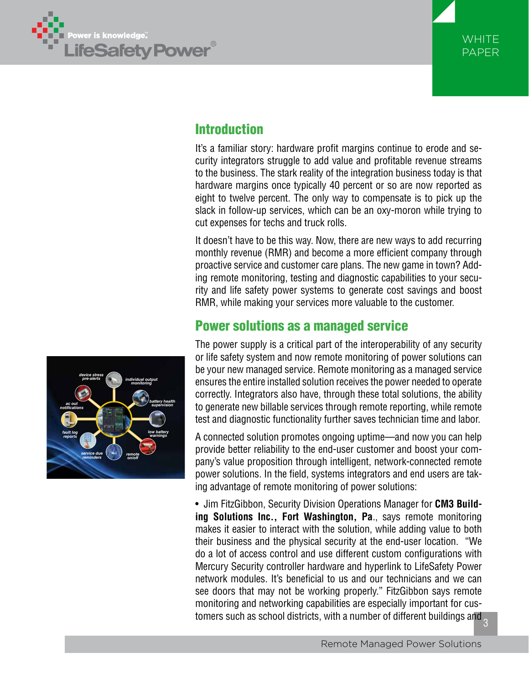



# Introduction

It's a familiar story: hardware profit margins continue to erode and security integrators struggle to add value and profitable revenue streams to the business. The stark reality of the integration business today is that hardware margins once typically 40 percent or so are now reported as eight to twelve percent. The only way to compensate is to pick up the slack in follow-up services, which can be an oxy-moron while trying to cut expenses for techs and truck rolls.

It doesn't have to be this way. Now, there are new ways to add recurring monthly revenue (RMR) and become a more efficient company through proactive service and customer care plans. The new game in town? Adding remote monitoring, testing and diagnostic capabilities to your security and life safety power systems to generate cost savings and boost RMR, while making your services more valuable to the customer.

## Power solutions as a managed service

The power supply is a critical part of the interoperability of any security or life safety system and now remote monitoring of power solutions can be your new managed service. Remote monitoring as a managed service ensures the entire installed solution receives the power needed to operate correctly. Integrators also have, through these total solutions, the ability to generate new billable services through remote reporting, while remote test and diagnostic functionality further saves technician time and labor.

A connected solution promotes ongoing uptime—and now you can help provide better reliability to the end-user customer and boost your company's value proposition through intelligent, network-connected remote power solutions. In the field, systems integrators and end users are taking advantage of remote monitoring of power solutions:

3 • Jim FitzGibbon, Security Division Operations Manager for **CM3 Building Solutions Inc., Fort Washington, Pa**., says remote monitoring makes it easier to interact with the solution, while adding value to both their business and the physical security at the end-user location. "We do a lot of access control and use different custom configurations with Mercury Security controller hardware and hyperlink to LifeSafety Power network modules. It's beneficial to us and our technicians and we can see doors that may not be working properly." FitzGibbon says remote monitoring and networking capabilities are especially important for customers such as school districts, with a number of different buildings and

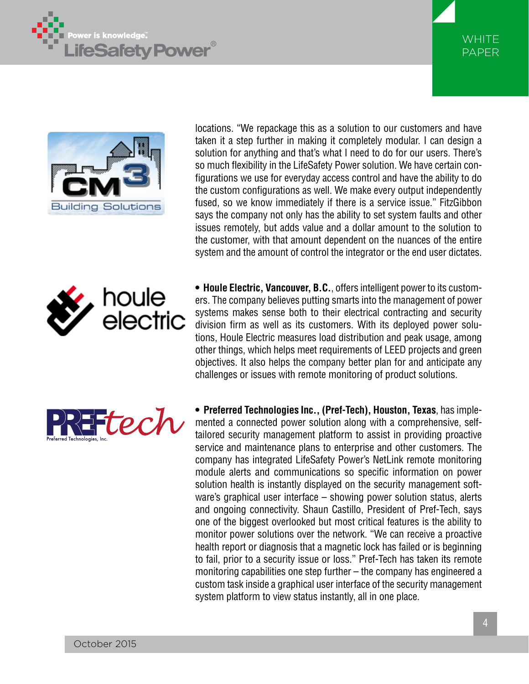





locations. "We repackage this as a solution to our customers and have taken it a step further in making it completely modular. I can design a solution for anything and that's what I need to do for our users. There's so much flexibility in the LifeSafety Power solution. We have certain configurations we use for everyday access control and have the ability to do the custom configurations as well. We make every output independently fused, so we know immediately if there is a service issue." FitzGibbon says the company not only has the ability to set system faults and other issues remotely, but adds value and a dollar amount to the solution to the customer, with that amount dependent on the nuances of the entire system and the amount of control the integrator or the end user dictates.

**• Houle Electric, Vancouver, B.C.**, offers intelligent power to its customers. The company believes putting smarts into the management of power systems makes sense both to their electrical contracting and security division firm as well as its customers. With its deployed power solutions, Houle Electric measures load distribution and peak usage, among other things, which helps meet requirements of LEED projects and green objectives. It also helps the company better plan for and anticipate any challenges or issues with remote monitoring of product solutions.



houle

electric

**• Preferred Technologies Inc., (Pref-Tech), Houston, Texas**, has implemented a connected power solution along with a comprehensive, selftailored security management platform to assist in providing proactive service and maintenance plans to enterprise and other customers. The company has integrated LifeSafety Power's NetLink remote monitoring module alerts and communications so specific information on power solution health is instantly displayed on the security management software's graphical user interface – showing power solution status, alerts and ongoing connectivity. Shaun Castillo, President of Pref-Tech, says one of the biggest overlooked but most critical features is the ability to monitor power solutions over the network. "We can receive a proactive health report or diagnosis that a magnetic lock has failed or is beginning to fail, prior to a security issue or loss." Pref-Tech has taken its remote monitoring capabilities one step further – the company has engineered a custom task inside a graphical user interface of the security management system platform to view status instantly, all in one place.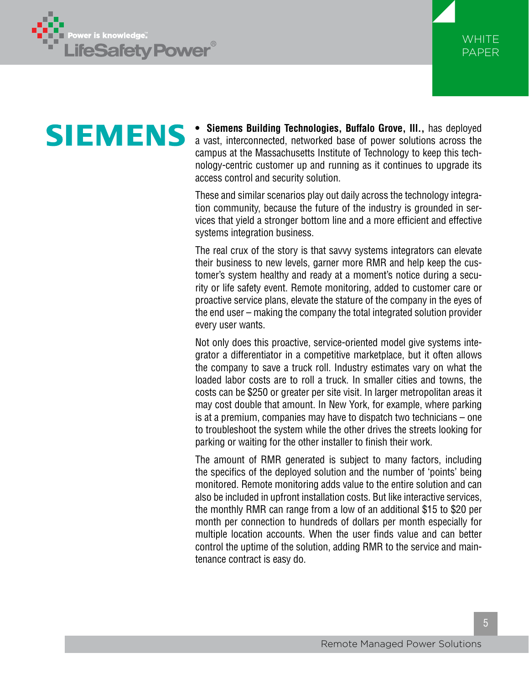



# **SIEMENS**

**• Siemens Building Technologies, Buffalo Grove, Ill.,** has deployed a vast, interconnected, networked base of power solutions across the campus at the Massachusetts Institute of Technology to keep this technology-centric customer up and running as it continues to upgrade its access control and security solution.

These and similar scenarios play out daily across the technology integration community, because the future of the industry is grounded in services that yield a stronger bottom line and a more efficient and effective systems integration business.

The real crux of the story is that savvy systems integrators can elevate their business to new levels, garner more RMR and help keep the customer's system healthy and ready at a moment's notice during a security or life safety event. Remote monitoring, added to customer care or proactive service plans, elevate the stature of the company in the eyes of the end user – making the company the total integrated solution provider every user wants.

Not only does this proactive, service-oriented model give systems integrator a differentiator in a competitive marketplace, but it often allows the company to save a truck roll. Industry estimates vary on what the loaded labor costs are to roll a truck. In smaller cities and towns, the costs can be \$250 or greater per site visit. In larger metropolitan areas it may cost double that amount. In New York, for example, where parking is at a premium, companies may have to dispatch two technicians – one to troubleshoot the system while the other drives the streets looking for parking or waiting for the other installer to finish their work.

The amount of RMR generated is subject to many factors, including the specifics of the deployed solution and the number of 'points' being monitored. Remote monitoring adds value to the entire solution and can also be included in upfront installation costs. But like interactive services, the monthly RMR can range from a low of an additional \$15 to \$20 per month per connection to hundreds of dollars per month especially for multiple location accounts. When the user finds value and can better control the uptime of the solution, adding RMR to the service and maintenance contract is easy do.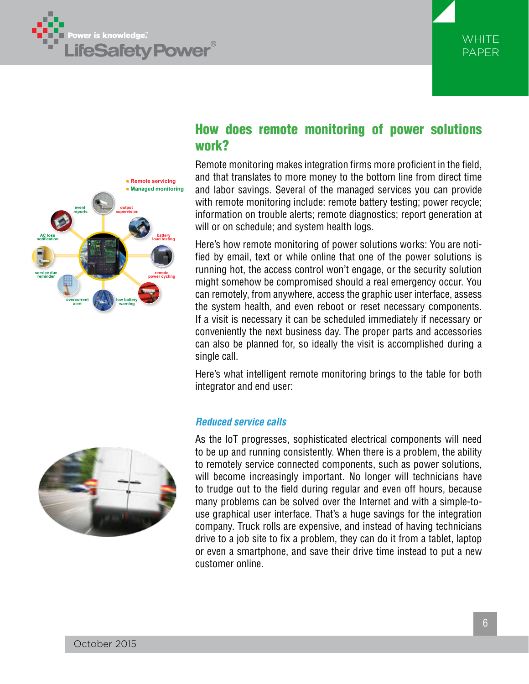





# How does remote monitoring of power solutions work?

Remote monitoring makes integration firms more proficient in the field, and that translates to more money to the bottom line from direct time and labor savings. Several of the managed services you can provide with remote monitoring include: remote battery testing; power recycle; information on trouble alerts; remote diagnostics; report generation at will or on schedule; and system health logs.

Here's how remote monitoring of power solutions works: You are notified by email, text or while online that one of the power solutions is running hot, the access control won't engage, or the security solution might somehow be compromised should a real emergency occur. You can remotely, from anywhere, access the graphic user interface, assess the system health, and even reboot or reset necessary components. If a visit is necessary it can be scheduled immediately if necessary or conveniently the next business day. The proper parts and accessories can also be planned for, so ideally the visit is accomplished during a single call.

Here's what intelligent remote monitoring brings to the table for both integrator and end user:

#### *Reduced service calls*



As the loT progresses, sophisticated electrical components will need to be up and running consistently. When there is a problem, the ability to remotely service connected components, such as power solutions, will become increasingly important. No longer will technicians have to trudge out to the field during regular and even off hours, because many problems can be solved over the Internet and with a simple-touse graphical user interface. That's a huge savings for the integration company. Truck rolls are expensive, and instead of having technicians drive to a job site to fix a problem, they can do it from a tablet, laptop or even a smartphone, and save their drive time instead to put a new customer online.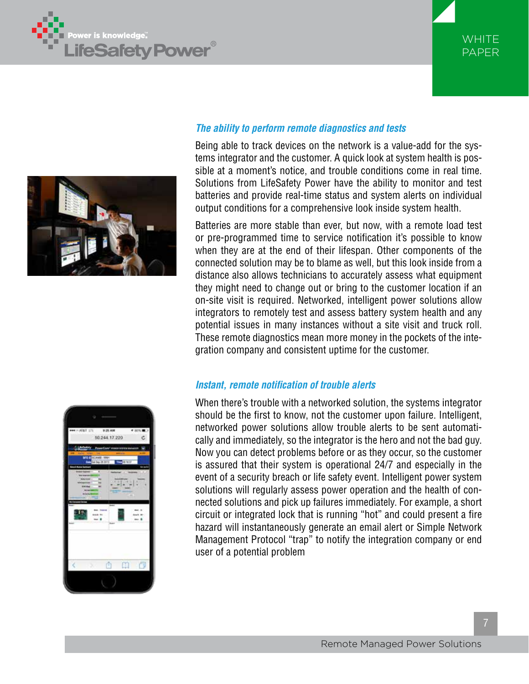





#### *The ability to perform remote diagnostics and tests*

Being able to track devices on the network is a value-add for the systems integrator and the customer. A quick look at system health is possible at a moment's notice, and trouble conditions come in real time. Solutions from LifeSafety Power have the ability to monitor and test batteries and provide real-time status and system alerts on individual output conditions for a comprehensive look inside system health.

Batteries are more stable than ever, but now, with a remote load test or pre-programmed time to service notification it's possible to know when they are at the end of their lifespan. Other components of the connected solution may be to blame as well, but this look inside from a distance also allows technicians to accurately assess what equipment they might need to change out or bring to the customer location if an on-site visit is required. Networked, intelligent power solutions allow integrators to remotely test and assess battery system health and any potential issues in many instances without a site visit and truck roll. These remote diagnostics mean more money in the pockets of the integration company and consistent uptime for the customer.

#### *Instant, remote notification of trouble alerts*

When there's trouble with a networked solution, the systems integrator should be the first to know, not the customer upon failure. Intelligent, networked power solutions allow trouble alerts to be sent automatically and immediately, so the integrator is the hero and not the bad guy. Now you can detect problems before or as they occur, so the customer is assured that their system is operational 24/7 and especially in the event of a security breach or life safety event. Intelligent power system solutions will regularly assess power operation and the health of connected solutions and pick up failures immediately. For example, a short circuit or integrated lock that is running "hot" and could present a fire hazard will instantaneously generate an email alert or Simple Network Management Protocol "trap" to notify the integration company or end user of a potential problem

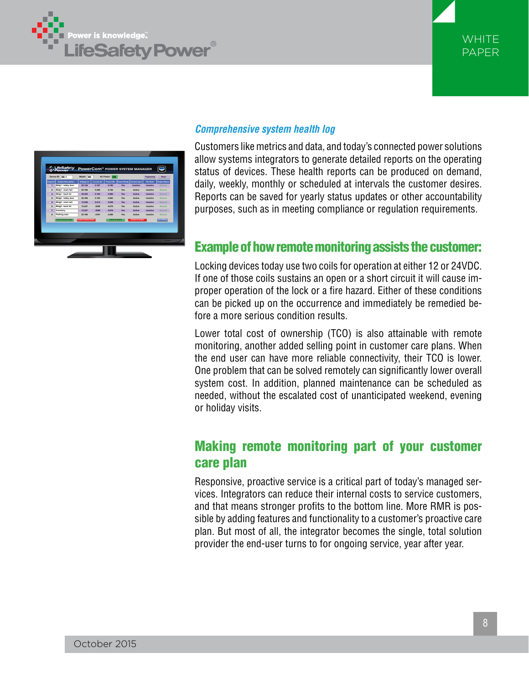





#### *Comprehensive system health log*

Customers like metrics and data, and today's connected power solutions allow systems integrators to generate detailed reports on the operating status of devices. These health reports can be produced on demand, daily, weekly, monthly or scheduled at intervals the customer desires. Reports can be saved for yearly status updates or other accountability purposes, such as in meeting compliance or regulation requirements.

## Example of how remote monitoring assists the customer:

Locking devices today use two coils for operation at either 12 or 24VDC. If one of those coils sustains an open or a short circuit it will cause improper operation of the lock or a fire hazard. Either of these conditions can be picked up on the occurrence and immediately be remedied before a more serious condition results.

Lower total cost of ownership (TCO) is also attainable with remote monitoring, another added selling point in customer care plans. When the end user can have more reliable connectivity, their TCO is lower. One problem that can be solved remotely can significantly lower overall system cost. In addition, planned maintenance can be scheduled as needed, without the escalated cost of unanticipated weekend, evening or holiday visits.

# Making remote monitoring part of your customer care plan

Responsive, proactive service is a critical part of today's managed services. Integrators can reduce their internal costs to service customers, and that means stronger profits to the bottom line. More RMR is possible by adding features and functionality to a customer's proactive care plan. But most of all, the integrator becomes the single, total solution provider the end-user turns to for ongoing service, year after year.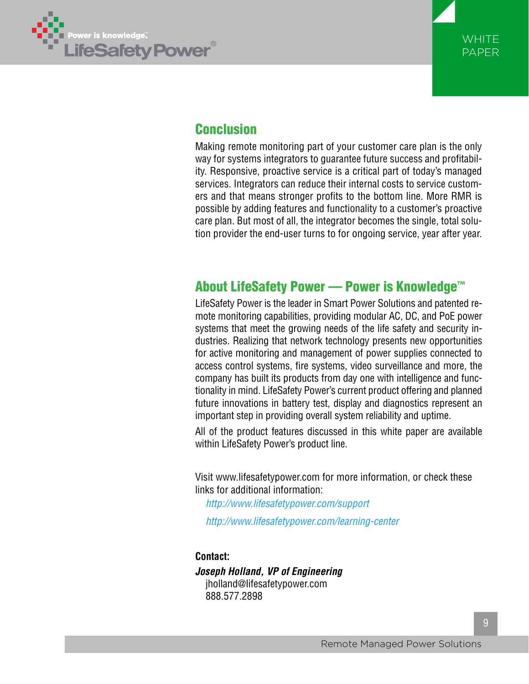



# Conclusion

Making remote monitoring part of your customer care plan is the only way for systems integrators to guarantee future success and profitability. Responsive, proactive service is a critical part of today's managed services. Integrators can reduce their internal costs to service customers and that means stronger profits to the bottom line. More RMR is possible by adding features and functionality to a customer's proactive care plan. But most of all, the integrator becomes the single, total solution provider the end-user turns to for ongoing service, year after year.

## About LifeSafety Power — Power is Knowledge™

LifeSafety Power is the leader in Smart Power Solutions and patented remote monitoring capabilities, providing modular AC, DC, and PoE power systems that meet the growing needs of the life safety and security industries. Realizing that network technology presents new opportunities for active monitoring and management of power supplies connected to access control systems, fire systems, video surveillance and more, the company has built its products from day one with intelligence and functionality in mind. LifeSafety Power's current product offering and planned future innovations in battery test, display and diagnostics represent an important step in providing overall system reliability and uptime.

All of the product features discussed in this white paper are available within LifeSafety Power's product line.

Visit www.lifesafetypower.com for more information, or check these links for additional information:

*http://www.lifesafetypower.com/support*

*http://www.lifesafetypower.com/learning-center*

#### **Contact:**

*Joseph Holland, VP of Engineering* jholland@lifesafetypower.com 888.577.2898